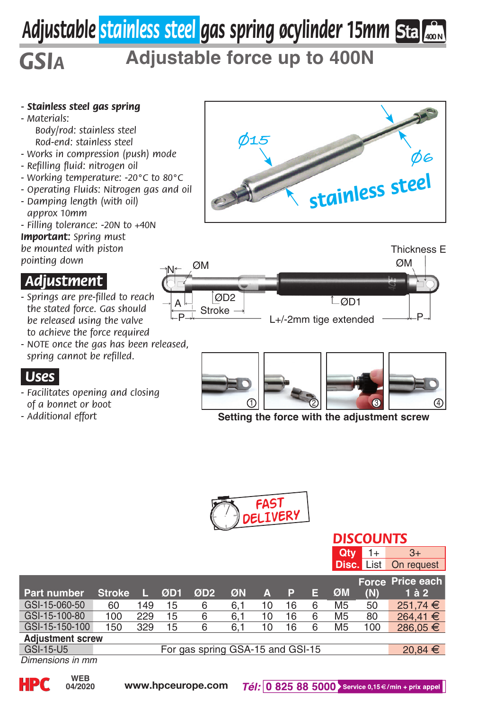# *Adjustable stainless steel gas spring øcylinder 15mm* **400 N**

## *GSIa* **Adjustable force up to 400N**

### *- Stainless steel gas spring*

*- Materials: Body/rod: stainless steel Rod-end: stainless steel*

- *Works in compression (push) mode*
- *Refilling fluid: nitrogen oil*
- *Working temperature: -20°C to 80°C*
- *Operating Fluids: Nitrogen gas and oil*
- *Damping length (with oil) approx 10mm*
- *Filling tolerance: -20N to +40N*

*Important: Spring must be mounted with piston pointing down*

### *.Adjustment.*

- *Springs are pre-filled to reach the stated force. Gas should be released using the valve to achieve the force required*
- *NOTE once the gas has been released, spring cannot be refilled.*

### *.Uses.*

- *Facilitates opening and closing of a bonnet or boot*
- *Additional effort*







**Setting the force with the adjustment screw**



|                         |                                  |     |     |                 |     |    |    |   | Qtv            | 1+                | $3+$             |
|-------------------------|----------------------------------|-----|-----|-----------------|-----|----|----|---|----------------|-------------------|------------------|
|                         |                                  |     |     |                 |     |    |    |   |                | <b>Disc.</b> List | On request       |
|                         |                                  |     |     |                 |     |    |    |   |                |                   | Force Price each |
| Part number             | <b>Stroke</b>                    |     | ØD1 | ØD <sub>2</sub> | ØN  | Δ  | P  | Е | ØM             | (N)               | $1$ à $2$        |
| GSI-15-060-50           | 60                               | 149 | 15  | 6               | 6.1 | 10 | 16 | 6 | M <sub>5</sub> | 50                | 251.74 €         |
| GSI-15-100-80           | 100                              | 229 | 15  | 6               | 6.1 | 10 | 16 | 6 | M <sub>5</sub> | 80                | 264.41 €         |
| GSI-15-150-100          | 150                              | 329 | 15  | 6               | 6.1 | 10 | 16 | 6 | M <sub>5</sub> | 100               | 286.05 €         |
| <b>Adiustment screw</b> |                                  |     |     |                 |     |    |    |   |                |                   |                  |
| GSI-15-U5               | For gas spring GSA-15 and GSI-15 |     |     |                 |     |    |    |   | $20,84 \in$    |                   |                  |
| Dimensions in mm        |                                  |     |     |                 |     |    |    |   |                |                   |                  |



**04/2020**

*DISCOUNTS*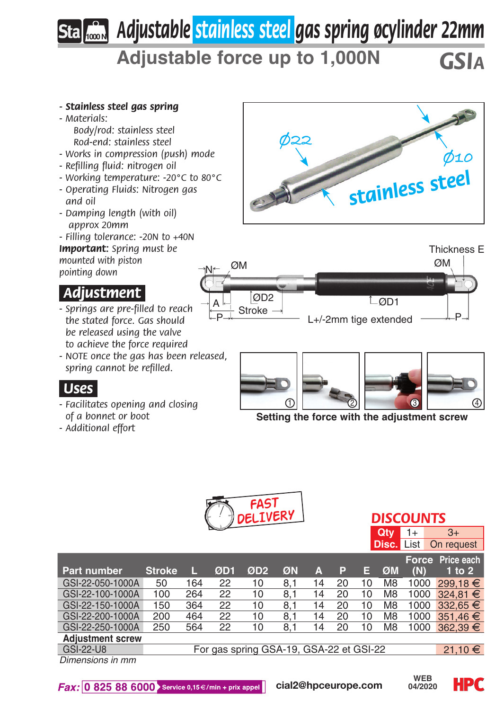## *Adjustable stainless steel gas spring øcylinder 22mm* **1000 N**

**Adjustable force up to 1,000N** *GSIa*

#### *- Stainless steel gas spring*

- *Materials: Body/rod: stainless steel Rod-end: stainless steel*
- *Works in compression (push) mode*
- *Refilling fluid: nitrogen oil*
- *Working temperature: -20°C to 80°C*
- *Operating Fluids: Nitrogen gas and oil*
- *Damping length (with oil) approx 20mm*
- *Filling tolerance: -20N to +40N Important: Spring must be mounted with piston pointing down*

### *.Adjustment.*

- *Springs are pre-filled to reach the stated force. Gas should be released using the valve to achieve the force required*
- *NOTE once the gas has been released, spring cannot be refilled.*

### *.Uses.*

- *Facilitates opening and closing of a bonnet or boot*
- *Additional effort*







**Setting the force with the adjustment screw**



| $\sim$<br>DELIVERY I | <b>DISCOUNTS</b> |  |                              |  |  |  |  |
|----------------------|------------------|--|------------------------------|--|--|--|--|
|                      | $Qtv$ $1+$       |  |                              |  |  |  |  |
|                      |                  |  | <b>Disc.</b> List On request |  |  |  |  |

|                         |                                         |     |     |                 |     |    |    |    |                |      | Force Price each |
|-------------------------|-----------------------------------------|-----|-----|-----------------|-----|----|----|----|----------------|------|------------------|
| Part number             | <b>Stroke</b>                           |     | ØD1 | ØD <sub>2</sub> | ØN  | Δ  | P  | Е  | ØM             | (N)  | 1 to $2$         |
| GSI-22-050-1000A        | 50                                      | 164 | 22  | 10              | 8.1 | 14 | 20 | 10 | M <sub>8</sub> | 1000 | 299.18 €         |
| GSI-22-100-1000A        | 100                                     | 264 | 22  | 10              | 8.1 | 14 | 20 | 10 | M <sub>8</sub> |      | 1000 324.81 €    |
| GSI-22-150-1000A        | 150                                     | 364 | 22  | 10              | 8.1 | 14 | 20 | 10 | M8             | 1000 | $332.65 \in$     |
| GSI-22-200-1000A        | 200                                     | 464 | 22  | 10              | 8.1 | 14 | 20 | 10 | M <sub>8</sub> | 1000 | $351.46 \in$     |
| GSI-22-250-1000A        | 250                                     | 564 | 22  | 10              | 8.1 | 14 | 20 | 10 | M <sub>8</sub> | 1000 | $362.39 \in$     |
| <b>Adiustment screw</b> |                                         |     |     |                 |     |    |    |    |                |      |                  |
| <b>GSI-22-U8</b>        | For gas spring GSA-19, GSA-22 et GSI-22 |     |     |                 |     |    |    |    | 21,10 €        |      |                  |
| Dimensione in mm        |                                         |     |     |                 |     |    |    |    |                |      |                  |

*Dimensions in mm*

 $Fax: 0825886000$  Service 0,15  $\epsilon$ /min + prix appel